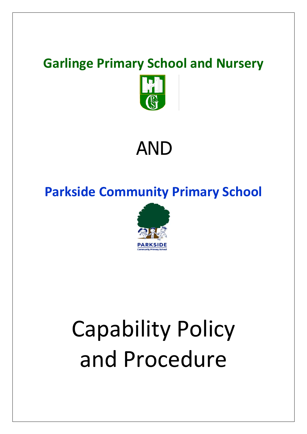## **Garlinge Primary School and Nursery**



## AND

### **Parkside Community Primary School**



# Capability Policy and Procedure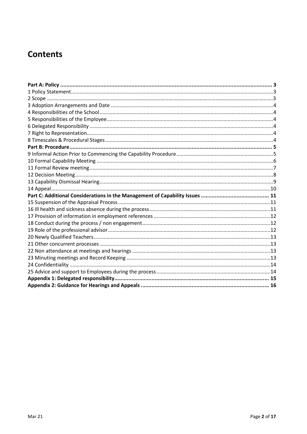#### **Contents**

<span id="page-1-0"></span>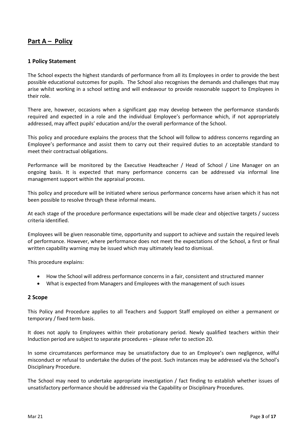#### **Part A – Policy**

#### <span id="page-2-0"></span>**1 Policy Statement**

The School expects the highest standards of performance from all its Employees in order to provide the best possible educational outcomes for pupils. The School also recognises the demands and challenges that may arise whilst working in a school setting and will endeavour to provide reasonable support to Employees in their role.

There are, however, occasions when a significant gap may develop between the performance standards required and expected in a role and the individual Employee's performance which, if not appropriately addressed, may affect pupils' education and/or the overall performance of the School.

This policy and procedure explains the process that the School will follow to address concerns regarding an Employee's performance and assist them to carry out their required duties to an acceptable standard to meet their contractual obligations.

Performance will be monitored by the Executive Headteacher / Head of School / Line Manager on an ongoing basis. It is expected that many performance concerns can be addressed via informal line management support within the appraisal process.

This policy and procedure will be initiated where serious performance concerns have arisen which it has not been possible to resolve through these informal means.

At each stage of the procedure performance expectations will be made clear and objective targets / success criteria identified.

Employees will be given reasonable time, opportunity and support to achieve and sustain the required levels of performance. However, where performance does not meet the expectations of the School, a first or final written capability warning may be issued which may ultimately lead to dismissal.

This procedure explains:

- How the School will address performance concerns in a fair, consistent and structured manner
- What is expected from Managers and Employees with the management of such issues

#### <span id="page-2-1"></span>**2 Scope**

This Policy and Procedure applies to all Teachers and Support Staff employed on either a permanent or temporary / fixed term basis.

It does not apply to Employees within their probationary period. Newly qualified teachers within their Induction period are subject to separate procedures – please refer to section 20.

In some circumstances performance may be unsatisfactory due to an Employee's own negligence, wilful misconduct or refusal to undertake the duties of the post. Such instances may be addressed via the School's Disciplinary Procedure.

The School may need to undertake appropriate investigation / fact finding to establish whether issues of unsatisfactory performance should be addressed via the Capability or Disciplinary Procedures.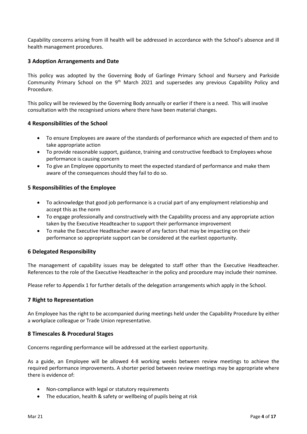Capability concerns arising from ill health will be addressed in accordance with the School's absence and ill health management procedures.

#### <span id="page-3-0"></span>**3 Adoption Arrangements and Date**

This policy was adopted by the Governing Body of Garlinge Primary School and Nursery and Parkside Community Primary School on the  $9<sup>th</sup>$  March 2021 and supersedes any previous Capability Policy and Procedure.

This policy will be reviewed by the Governing Body annually or earlier if there is a need. This will involve consultation with the recognised unions where there have been material changes.

#### <span id="page-3-1"></span>**4 Responsibilities of the School**

- To ensure Employees are aware of the standards of performance which are expected of them and to take appropriate action
- To provide reasonable support, guidance, training and constructive feedback to Employees whose performance is causing concern
- To give an Employee opportunity to meet the expected standard of performance and make them aware of the consequences should they fail to do so.

#### <span id="page-3-2"></span>**5 Responsibilities of the Employee**

- To acknowledge that good job performance is a crucial part of any employment relationship and accept this as the norm
- To engage professionally and constructively with the Capability process and any appropriate action taken by the Executive Headteacher to support their performance improvement
- To make the Executive Headteacher aware of any factors that may be impacting on their performance so appropriate support can be considered at the earliest opportunity.

#### <span id="page-3-3"></span>**6 Delegated Responsibility**

The management of capability issues may be delegated to staff other than the Executive Headteacher. References to the role of the Executive Headteacher in the policy and procedure may include their nominee.

Please refer to Appendix 1 for further details of the delegation arrangements which apply in the School.

#### <span id="page-3-4"></span>**7 Right to Representation**

An Employee has the right to be accompanied during meetings held under the Capability Procedure by either a workplace colleague or Trade Union representative.

#### <span id="page-3-5"></span>**8 Timescales & Procedural Stages**

Concerns regarding performance will be addressed at the earliest opportunity.

As a guide, an Employee will be allowed 4-8 working weeks between review meetings to achieve the required performance improvements. A shorter period between review meetings may be appropriate where there is evidence of:

- Non-compliance with legal or statutory requirements
- The education, health & safety or wellbeing of pupils being at risk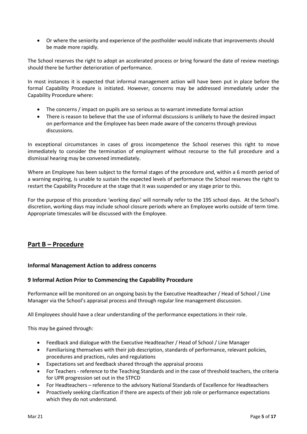Or where the seniority and experience of the postholder would indicate that improvements should be made more rapidly.

The School reserves the right to adopt an accelerated process or bring forward the date of review meetings should there be further deterioration of performance.

In most instances it is expected that informal management action will have been put in place before the formal Capability Procedure is initiated. However, concerns may be addressed immediately under the Capability Procedure where:

- The concerns / impact on pupils are so serious as to warrant immediate formal action
- There is reason to believe that the use of informal discussions is unlikely to have the desired impact on performance and the Employee has been made aware of the concerns through previous discussions.

In exceptional circumstances in cases of gross incompetence the School reserves this right to move immediately to consider the termination of employment without recourse to the full procedure and a dismissal hearing may be convened immediately.

Where an Employee has been subject to the formal stages of the procedure and, within a 6 month period of a warning expiring, is unable to sustain the expected levels of performance the School reserves the right to restart the Capability Procedure at the stage that it was suspended or any stage prior to this.

For the purpose of this procedure 'working days' will normally refer to the 195 school days. At the School's discretion, working days may include school closure periods where an Employee works outside of term time. Appropriate timescales will be discussed with the Employee.

#### <span id="page-4-0"></span>**Part B – Procedure**

#### **Informal Management Action to address concerns**

#### <span id="page-4-1"></span>**9 Informal Action Prior to Commencing the Capability Procedure**

Performance will be monitored on an ongoing basis by the Executive Headteacher / Head of School / Line Manager via the School's appraisal process and through regular line management discussion.

All Employees should have a clear understanding of the performance expectations in their role.

This may be gained through:

- Feedback and dialogue with the Executive Headteacher / Head of School / Line Manager
- Familiarising themselves with their job description, standards of performance, relevant policies, procedures and practices, rules and regulations
- Expectations set and feedback shared through the appraisal process
- For Teachers reference to the Teaching Standards and in the case of threshold teachers, the criteria for UPR progression set out in the STPCD
- For Headteachers reference to the advisory National Standards of Excellence for Headteachers
- Proactively seeking clarification if there are aspects of their job role or performance expectations which they do not understand.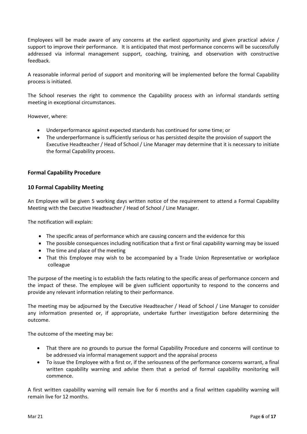Employees will be made aware of any concerns at the earliest opportunity and given practical advice / support to improve their performance. It is anticipated that most performance concerns will be successfully addressed via informal management support, coaching, training, and observation with constructive feedback.

A reasonable informal period of support and monitoring will be implemented before the formal Capability process is initiated.

The School reserves the right to commence the Capability process with an informal standards setting meeting in exceptional circumstances.

However, where:

- Underperformance against expected standards has continued for some time; or
- The underperformance is sufficiently serious or has persisted despite the provision of support the Executive Headteacher / Head of School / Line Manager may determine that it is necessary to initiate the formal Capability process.

#### **Formal Capability Procedure**

#### <span id="page-5-0"></span>**10 Formal Capability Meeting**

An Employee will be given 5 working days written notice of the requirement to attend a Formal Capability Meeting with the Executive Headteacher / Head of School / Line Manager.

The notification will explain:

- The specific areas of performance which are causing concern and the evidence for this
- The possible consequences including notification that a first or final capability warning may be issued
- The time and place of the meeting
- That this Employee may wish to be accompanied by a Trade Union Representative or workplace colleague

The purpose of the meeting is to establish the facts relating to the specific areas of performance concern and the impact of these. The employee will be given sufficient opportunity to respond to the concerns and provide any relevant information relating to their performance.

The meeting may be adjourned by the Executive Headteacher / Head of School / Line Manager to consider any information presented or, if appropriate, undertake further investigation before determining the outcome.

The outcome of the meeting may be:

- That there are no grounds to pursue the formal Capability Procedure and concerns will continue to be addressed via informal management support and the appraisal process
- To issue the Employee with a first or, if the seriousness of the performance concerns warrant, a final written capability warning and advise them that a period of formal capability monitoring will commence.

A first written capability warning will remain live for 6 months and a final written capability warning will remain live for 12 months.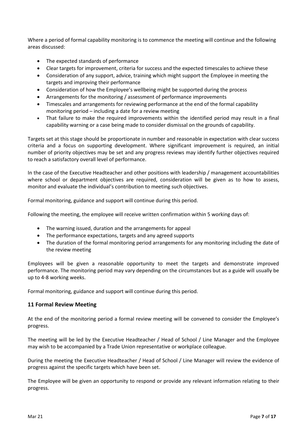Where a period of formal capability monitoring is to commence the meeting will continue and the following areas discussed:

- The expected standards of performance
- Clear targets for improvement, criteria for success and the expected timescales to achieve these
- Consideration of any support, advice, training which might support the Employee in meeting the targets and improving their performance
- Consideration of how the Employee's wellbeing might be supported during the process
- Arrangements for the monitoring / assessment of performance improvements
- Timescales and arrangements for reviewing performance at the end of the formal capability monitoring period – including a date for a review meeting
- That failure to make the required improvements within the identified period may result in a final capability warning or a case being made to consider dismissal on the grounds of capability.

Targets set at this stage should be proportionate in number and reasonable in expectation with clear success criteria and a focus on supporting development. Where significant improvement is required, an initial number of priority objectives may be set and any progress reviews may identify further objectives required to reach a satisfactory overall level of performance.

In the case of the Executive Headteacher and other positions with leadership / management accountabilities where school or department objectives are required, consideration will be given as to how to assess, monitor and evaluate the individual's contribution to meeting such objectives.

Formal monitoring, guidance and support will continue during this period.

Following the meeting, the employee will receive written confirmation within 5 working days of:

- The warning issued, duration and the arrangements for appeal
- The performance expectations, targets and any agreed supports
- The duration of the formal monitoring period arrangements for any monitoring including the date of the review meeting

Employees will be given a reasonable opportunity to meet the targets and demonstrate improved performance. The monitoring period may vary depending on the circumstances but as a guide will usually be up to 4-8 working weeks.

Formal monitoring, guidance and support will continue during this period.

#### <span id="page-6-0"></span>**11 Formal Review Meeting**

At the end of the monitoring period a formal review meeting will be convened to consider the Employee's progress.

The meeting will be led by the Executive Headteacher / Head of School / Line Manager and the Employee may wish to be accompanied by a Trade Union representative or workplace colleague.

During the meeting the Executive Headteacher / Head of School / Line Manager will review the evidence of progress against the specific targets which have been set.

The Employee will be given an opportunity to respond or provide any relevant information relating to their progress.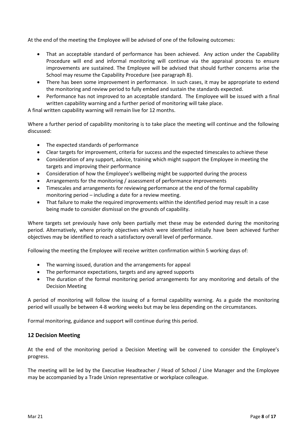At the end of the meeting the Employee will be advised of one of the following outcomes:

- That an acceptable standard of performance has been achieved. Any action under the Capability Procedure will end and informal monitoring will continue via the appraisal process to ensure improvements are sustained. The Employee will be advised that should further concerns arise the School may resume the Capability Procedure (see paragraph 8).
- There has been some improvement in performance. In such cases, it may be appropriate to extend the monitoring and review period to fully embed and sustain the standards expected.
- Performance has not improved to an acceptable standard. The Employee will be issued with a final written capability warning and a further period of monitoring will take place.

A final written capability warning will remain live for 12 months.

Where a further period of capability monitoring is to take place the meeting will continue and the following discussed:

- The expected standards of performance
- Clear targets for improvement, criteria for success and the expected timescales to achieve these
- Consideration of any support, advice, training which might support the Employee in meeting the targets and improving their performance
- Consideration of how the Employee's wellbeing might be supported during the process
- Arrangements for the monitoring / assessment of performance improvements
- Timescales and arrangements for reviewing performance at the end of the formal capability monitoring period – including a date for a review meeting.
- That failure to make the required improvements within the identified period may result in a case being made to consider dismissal on the grounds of capability.

Where targets set previously have only been partially met these may be extended during the monitoring period. Alternatively, where priority objectives which were identified initially have been achieved further objectives may be identified to reach a satisfactory overall level of performance.

Following the meeting the Employee will receive written confirmation within 5 working days of:

- The warning issued, duration and the arrangements for appeal
- The performance expectations, targets and any agreed supports
- The duration of the formal monitoring period arrangements for any monitoring and details of the Decision Meeting

A period of monitoring will follow the issuing of a formal capability warning. As a guide the monitoring period will usually be between 4-8 working weeks but may be less depending on the circumstances.

Formal monitoring, guidance and support will continue during this period.

#### <span id="page-7-0"></span>**12 Decision Meeting**

At the end of the monitoring period a Decision Meeting will be convened to consider the Employee's progress.

The meeting will be led by the Executive Headteacher / Head of School / Line Manager and the Employee may be accompanied by a Trade Union representative or workplace colleague.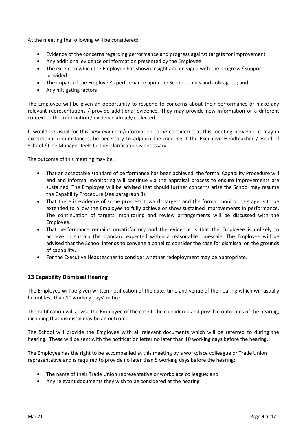At the meeting the following will be considered:

- Evidence of the concerns regarding performance and progress against targets for improvement
- Any additional evidence or information presented by the Employee
- The extent to which the Employee has shown insight and engaged with the progress / support provided
- The impact of the Employee's performance upon the School, pupils and colleagues; and
- Any mitigating factors

The Employee will be given an opportunity to respond to concerns about their performance or make any relevant representations / provide additional evidence. They may provide new information or a different context to the information / evidence already collected.

It would be usual for this new evidence/information to be considered at this meeting however, it may in exceptional circumstances, be necessary to adjourn the meeting if the Executive Headteacher / Head of School / Line Manager feels further clarification is necessary.

The outcome of this meeting may be:

- That an acceptable standard of performance has been achieved, the formal Capability Procedure will end and informal monitoring will continue via the appraisal process to ensure improvements are sustained. The Employee will be advised that should further concerns arise the School may resume the Capability Procedure (see paragraph 8).
- That there is evidence of some progress towards targets and the formal monitoring stage is to be extended to allow the Employee to fully achieve or show sustained improvements in performance. The continuation of targets, monitoring and review arrangements will be discussed with the Employee.
- That performance remains unsatisfactory and the evidence is that the Employee is unlikely to achieve or sustain the standard expected within a reasonable timescale. The Employee will be advised that the School intends to convene a panel to consider the case for dismissal on the grounds of capability.
- For the Executive Headteacher to consider whether redeployment may be appropriate.

#### <span id="page-8-0"></span>**13 Capability Dismissal Hearing**

The Employee will be given written notification of the date, time and venue of the hearing which will usually be not less than 10 working days' notice.

The notification will advise the Employee of the case to be considered and possible outcomes of the hearing, including that dismissal may be an outcome.

The School will provide the Employee with all relevant documents which will be referred to during the hearing. These will be sent with the notification letter no later than 10 working days before the hearing.

The Employee has the right to be accompanied at this meeting by a workplace colleague or Trade Union representative and is required to provide no later than 5 working days before the hearing:

- The name of their Trade Union representative or workplace colleague; and
- Any relevant documents they wish to be considered at the hearing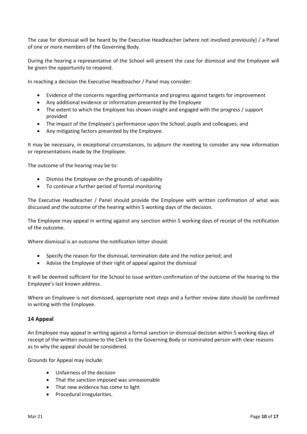The case for dismissal will be heard by the Executive Headteacher (where not involved previously) / a Panel of one or more members of the Governing Body.

During the hearing a representative of the School will present the case for dismissal and the Employee will be given the opportunity to respond.

In reaching a decision the Executive Headteacher / Panel may consider:

- Evidence of the concerns regarding performance and progress against targets for improvement
- Any additional evidence or information presented by the Employee
- The extent to which the Employee has shown insight and engaged with the progress / support provided
- The impact of the Employee's performance upon the School, pupils and colleagues; and
- Any mitigating factors presented by the Employee.

It may be necessary, in exceptional circumstances, to adjourn the meeting to consider any new information or representations made by the Employee.

The outcome of the hearing may be to:

- Dismiss the Employee on the grounds of capability
- To continue a further period of formal monitoring

The Executive Headteacher / Panel should provide the Employee with written confirmation of what was discussed and the outcome of the hearing within 5 working days of the decision.

The Employee may appeal in writing against any sanction within 5 working days of receipt of the notification of the outcome.

Where dismissal is an outcome the notification letter should:

- Specify the reason for the dismissal, termination date and the notice period; and
- Advise the Employee of their right of appeal against the dismissal

It will be deemed sufficient for the School to issue written confirmation of the outcome of the hearing to the Employee's last known address.

Where an Employee is not dismissed, appropriate next steps and a further review date should be confirmed in writing with the Employee.

#### <span id="page-9-0"></span>**14 Appeal**

An Employee may appeal in writing against a formal sanction or dismissal decision within 5 working days of receipt of the written outcome to the Clerk to the Governing Body or nominated person with clear reasons as to why the appeal should be considered.

Grounds for Appeal may include:

- Unfairness of the decision
- That the sanction imposed was unreasonable
- That new evidence has come to light
- Procedural irregularities.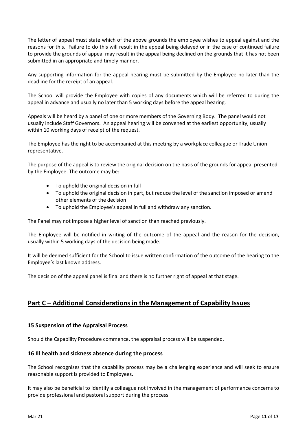The letter of appeal must state which of the above grounds the employee wishes to appeal against and the reasons for this. Failure to do this will result in the appeal being delayed or in the case of continued failure to provide the grounds of appeal may result in the appeal being declined on the grounds that it has not been submitted in an appropriate and timely manner.

Any supporting information for the appeal hearing must be submitted by the Employee no later than the deadline for the receipt of an appeal.

The School will provide the Employee with copies of any documents which will be referred to during the appeal in advance and usually no later than 5 working days before the appeal hearing.

Appeals will be heard by a panel of one or more members of the Governing Body. The panel would not usually include Staff Governors. An appeal hearing will be convened at the earliest opportunity, usually within 10 working days of receipt of the request.

The Employee has the right to be accompanied at this meeting by a workplace colleague or Trade Union representative.

The purpose of the appeal is to review the original decision on the basis of the grounds for appeal presented by the Employee. The outcome may be:

- To uphold the original decision in full
- To uphold the original decision in part, but reduce the level of the sanction imposed or amend other elements of the decision
- To uphold the Employee's appeal in full and withdraw any sanction.

The Panel may not impose a higher level of sanction than reached previously.

The Employee will be notified in writing of the outcome of the appeal and the reason for the decision, usually within 5 working days of the decision being made.

It will be deemed sufficient for the School to issue written confirmation of the outcome of the hearing to the Employee's last known address.

The decision of the appeal panel is final and there is no further right of appeal at that stage.

#### <span id="page-10-0"></span>**Part C – Additional Considerations in the Management of Capability Issues**

#### <span id="page-10-1"></span>**15 Suspension of the Appraisal Process**

Should the Capability Procedure commence, the appraisal process will be suspended.

#### <span id="page-10-2"></span>**16 Ill health and sickness absence during the process**

The School recognises that the capability process may be a challenging experience and will seek to ensure reasonable support is provided to Employees.

It may also be beneficial to identify a colleague not involved in the management of performance concerns to provide professional and pastoral support during the process.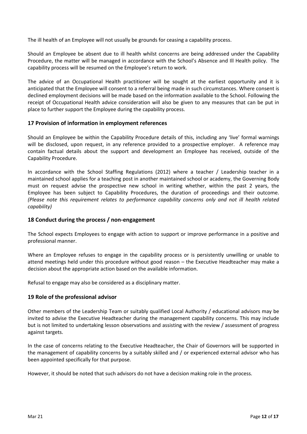The ill health of an Employee will not usually be grounds for ceasing a capability process.

Should an Employee be absent due to ill health whilst concerns are being addressed under the Capability Procedure, the matter will be managed in accordance with the School's Absence and Ill Health policy. The capability process will be resumed on the Employee's return to work.

The advice of an Occupational Health practitioner will be sought at the earliest opportunity and it is anticipated that the Employee will consent to a referral being made in such circumstances. Where consent is declined employment decisions will be made based on the information available to the School. Following the receipt of Occupational Health advice consideration will also be given to any measures that can be put in place to further support the Employee during the capability process.

#### <span id="page-11-0"></span>**17 Provision of information in employment references**

Should an Employee be within the Capability Procedure details of this, including any 'live' formal warnings will be disclosed, upon request, in any reference provided to a prospective employer. A reference may contain factual details about the support and development an Employee has received, outside of the Capability Procedure.

In accordance with the School Staffing Regulations (2012) where a teacher / Leadership teacher in a maintained school applies for a teaching post in another maintained school or academy, the Governing Body must on request advise the prospective new school in writing whether, within the past 2 years, the Employee has been subject to Capability Procedures, the duration of proceedings and their outcome. *(Please note this requirement relates to performance capability concerns only and not ill health related capability)*

#### <span id="page-11-1"></span>**18 Conduct during the process / non-engagement**

The School expects Employees to engage with action to support or improve performance in a positive and professional manner.

Where an Employee refuses to engage in the capability process or is persistently unwilling or unable to attend meetings held under this procedure without good reason – the Executive Headteacher may make a decision about the appropriate action based on the available information.

Refusal to engage may also be considered as a disciplinary matter.

#### <span id="page-11-2"></span>**19 Role of the professional advisor**

Other members of the Leadership Team or suitably qualified Local Authority / educational advisors may be invited to advise the Executive Headteacher during the management capability concerns. This may include but is not limited to undertaking lesson observations and assisting with the review / assessment of progress against targets.

In the case of concerns relating to the Executive Headteacher, the Chair of Governors will be supported in the management of capability concerns by a suitably skilled and / or experienced external advisor who has been appointed specifically for that purpose.

<span id="page-11-3"></span>However, it should be noted that such advisors do not have a decision making role in the process.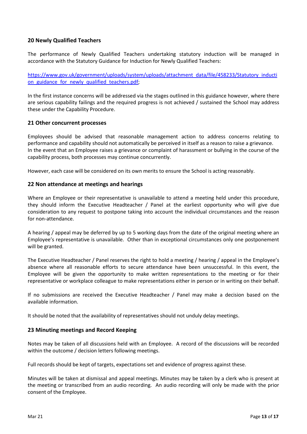#### **20 Newly Qualified Teachers**

The performance of Newly Qualified Teachers undertaking statutory induction will be managed in accordance with the Statutory Guidance for Induction for Newly Qualified Teachers:

[https://www.gov.uk/government/uploads/system/uploads/attachment\\_data/file/458233/Statutory\\_inducti](https://www.gov.uk/government/uploads/system/uploads/attachment_data/file/458233/Statutory_induction_guidance_for_newly_qualified_teachers.pdf) on guidance for newly qualified teachers.pdf;

In the first instance concerns will be addressed via the stages outlined in this guidance however, where there are serious capability failings and the required progress is not achieved / sustained the School may address these under the Capability Procedure.

#### <span id="page-12-0"></span>**21 Other concurrent processes**

Employees should be advised that reasonable management action to address concerns relating to performance and capability should not automatically be perceived in itself as a reason to raise a grievance. In the event that an Employee raises a grievance or complaint of harassment or bullying in the course of the capability process, both processes may continue concurrently.

However, each case will be considered on its own merits to ensure the School is acting reasonably.

#### <span id="page-12-1"></span>**22 Non attendance at meetings and hearings**

Where an Employee or their representative is unavailable to attend a meeting held under this procedure, they should inform the Executive Headteacher / Panel at the earliest opportunity who will give due consideration to any request to postpone taking into account the individual circumstances and the reason for non-attendance.

A hearing / appeal may be deferred by up to 5 working days from the date of the original meeting where an Employee's representative is unavailable. Other than in exceptional circumstances only one postponement will be granted.

The Executive Headteacher / Panel reserves the right to hold a meeting / hearing / appeal in the Employee's absence where all reasonable efforts to secure attendance have been unsuccessful. In this event, the Employee will be given the opportunity to make written representations to the meeting or for their representative or workplace colleague to make representations either in person or in writing on their behalf.

If no submissions are received the Executive Headteacher / Panel may make a decision based on the available information.

It should be noted that the availability of representatives should not unduly delay meetings.

#### <span id="page-12-2"></span>**23 Minuting meetings and Record Keeping**

Notes may be taken of all discussions held with an Employee. A record of the discussions will be recorded within the outcome / decision letters following meetings.

Full records should be kept of targets, expectations set and evidence of progress against these.

Minutes will be taken at dismissal and appeal meetings. Minutes may be taken by a clerk who is present at the meeting or transcribed from an audio recording. An audio recording will only be made with the prior consent of the Employee.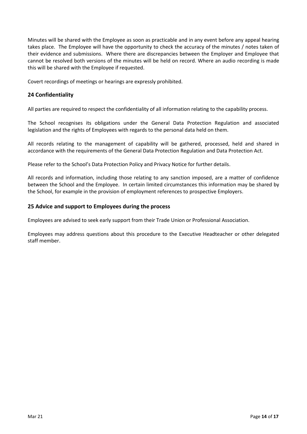Minutes will be shared with the Employee as soon as practicable and in any event before any appeal hearing takes place. The Employee will have the opportunity to check the accuracy of the minutes / notes taken of their evidence and submissions. Where there are discrepancies between the Employer and Employee that cannot be resolved both versions of the minutes will be held on record. Where an audio recording is made this will be shared with the Employee if requested.

Covert recordings of meetings or hearings are expressly prohibited.

#### <span id="page-13-0"></span>**24 Confidentiality**

All parties are required to respect the confidentiality of all information relating to the capability process.

The School recognises its obligations under the General Data Protection Regulation and associated legislation and the rights of Employees with regards to the personal data held on them.

All records relating to the management of capability will be gathered, processed, held and shared in accordance with the requirements of the General Data Protection Regulation and Data Protection Act.

Please refer to the School's Data Protection Policy and Privacy Notice for further details.

All records and information, including those relating to any sanction imposed, are a matter of confidence between the School and the Employee. In certain limited circumstances this information may be shared by the School, for example in the provision of employment references to prospective Employers.

#### <span id="page-13-1"></span>**25 Advice and support to Employees during the process**

Employees are advised to seek early support from their Trade Union or Professional Association.

<span id="page-13-2"></span>Employees may address questions about this procedure to the Executive Headteacher or other delegated staff member.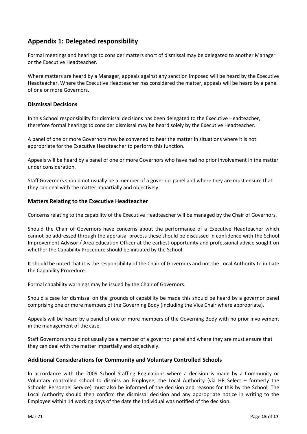#### **Appendix 1: Delegated responsibility**

Formal meetings and hearings to consider matters short of dismissal may be delegated to another Manager or the Executive Headteacher.

Where matters are heard by a Manager, appeals against any sanction imposed will be heard by the Executive Headteacher. Where the Executive Headteacher has considered the matter, appeals will be heard by a panel of one or more Governors.

#### **Dismissal Decisions**

In this School responsibility for dismissal decisions has been delegated to the Executive Headteacher, therefore formal hearings to consider dismissal may be heard solely by the Executive Headteacher.

A panel of one or more Governors may be convened to hear the matter in situations where it is not appropriate for the Executive Headteacher to perform this function.

Appeals will be heard by a panel of one or more Governors who have had no prior involvement in the matter under consideration.

Staff Governors should not usually be a member of a governor panel and where they are must ensure that they can deal with the matter impartially and objectively.

#### **Matters Relating to the Executive Headteacher**

Concerns relating to the capability of the Executive Headteacher will be managed by the Chair of Governors.

Should the Chair of Governors have concerns about the performance of a Executive Headteacher which cannot be addressed through the appraisal process these should be discussed in confidence with the School Improvement Advisor / Area Education Officer at the earliest opportunity and professional advice sought on whether the Capability Procedure should be initiated by the School.

It should be noted that it is the responsibility of the Chair of Governors and not the Local Authority to initiate the Capability Procedure.

Formal capability warnings may be issued by the Chair of Governors.

Should a case for dismissal on the grounds of capability be made this should be heard by a governor panel comprising one or more members of the Governing Body (including the Vice Chair where appropriate).

Appeals will be heard by a panel of one or more members of the Governing Body with no prior involvement in the management of the case.

Staff Governors should not usually be a member of a governor panel and where they are must ensure that they can deal with the matter impartially and objectively.

#### **Additional Considerations for Community and Voluntary Controlled Schools**

<span id="page-14-0"></span>In accordance with the 2009 School Staffing Regulations where a decision is made by a Community or Voluntary controlled school to dismiss an Employee, the Local Authority (via HR Select – formerly the Schools' Personnel Service) must also be informed of the decision and reasons for this by the School. The Local Authority should then confirm the dismissal decision and any appropriate notice in writing to the Employee within 14 working days of the date the Individual was notified of the decision.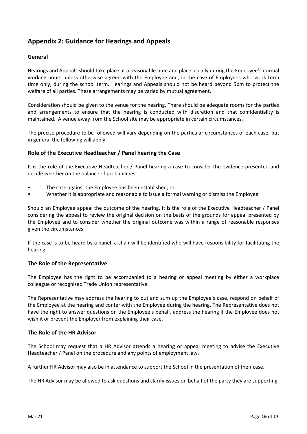#### **Appendix 2: Guidance for Hearings and Appeals**

#### **General**

Hearings and Appeals should take place at a reasonable time and place usually during the Employee's normal working hours unless otherwise agreed with the Employee and, in the case of Employees who work term time only, during the school term. Hearings and Appeals should not be heard beyond 5pm to protect the welfare of all parties. These arrangements may be varied by mutual agreement.

Consideration should be given to the venue for the hearing. There should be adequate rooms for the parties and arrangements to ensure that the hearing is conducted with discretion and that confidentiality is maintained. A venue away from the School site may be appropriate in certain circumstances.

The precise procedure to be followed will vary depending on the particular circumstances of each case, but in general the following will apply:

#### **Role of the Executive Headteacher / Panel hearing the Case**

It is the role of the Executive Headteacher / Panel hearing a case to consider the evidence presented and decide whether on the balance of probabilities:

- The case against the Employee has been established; or
- Whether it is appropriate and reasonable to issue a formal warning or dismiss the Employee

Should an Employee appeal the outcome of the hearing, it is the role of the Executive Headteacher / Panel considering the appeal to review the original decision on the basis of the grounds for appeal presented by the Employee and to consider whether the original outcome was within a range of reasonable responses given the circumstances.

If the case is to be heard by a panel, a chair will be identified who will have responsibility for facilitating the hearing.

#### **The Role of the Representative**

The Employee has the right to be accompanied to a hearing or appeal meeting by either a workplace colleague or recognised Trade Union representative.

The Representative may address the hearing to put and sum up the Employee's case, respond on behalf of the Employee at the hearing and confer with the Employee during the hearing. The Representative does not have the right to answer questions on the Employee's behalf, address the hearing if the Employee does not wish it or prevent the Employer from explaining their case.

#### **The Role of the HR Advisor**

The School may request that a HR Advisor attends a hearing or appeal meeting to advise the Executive Headteacher / Panel on the procedure and any points of employment law.

A further HR Advisor may also be in attendance to support the School in the presentation of their case.

The HR Advisor may be allowed to ask questions and clarify issues on behalf of the party they are supporting.